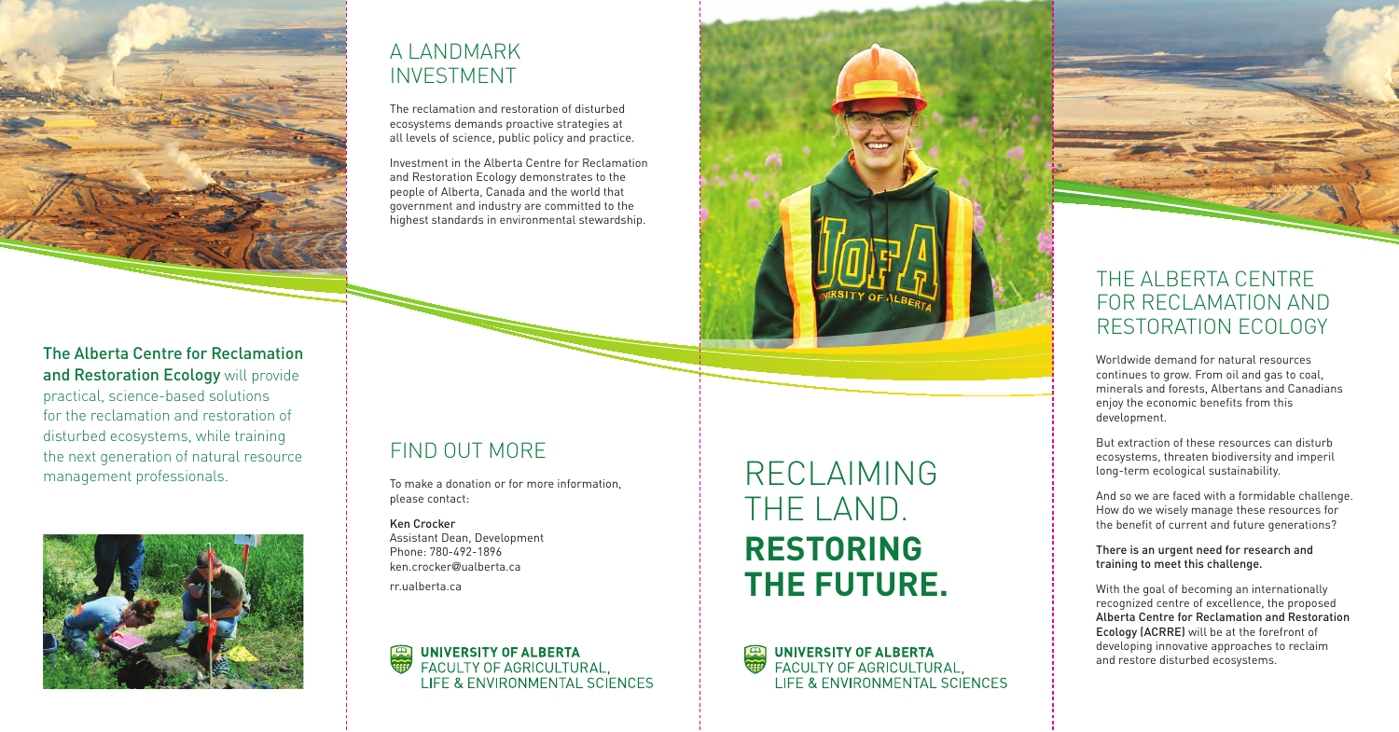

Worldwide demand for natural resources continues to grow. From oil and gas to coal, minerals and forests, Albertans and Canadians enjoy the economic benefits from this development.

But extraction of these resources can disturb ecosystems, threaten biodiversity and imperil long-term ecological sustainability.

And so we are faced with a formidable challenge. How do we wisely manage these resources for the benefit of current and future generations?

There is an urgent need for research and training to meet this challenge.

With the goal of becoming an internationally recognized centre of excellence, the proposed Alberta Centre for Reclamation and Restoration Ecology (ACRRE) will be at the forefront of developing innovative approaches to reclaim and restore disturbed ecosystems.

### The Alberta Centre for Reclamation and Restoration Ecology will provide

RECLAIMING THE LAND. **RESTORING THE FUTURE.**

**UNIVERSITY OF ALBERTA** FACULTY OF AGRICULTURAL. LIFE & ENVIRONMENTAL SCIENCES



# A LANDMARK INVESTMENT

The reclamation and restoration of disturbed ecosystems demands proactive strategies at all levels of science, public policy and practice.

Investment in the Alberta Centre for Reclamation and Restoration Ecology demonstrates to the people of Alberta, Canada and the world that government and industry are committed to the highest standards in environmental stewardship.

# FIND OUT MORE

To make a donation or for more information, please contact:

Ken Crocker Assistant Dean, Development Phone: 780-492-1896 ken.crocker@ualberta.ca

rr.ualberta.ca



practical, science-based solutions for the reclamation and restoration of disturbed ecosystems, while training the next generation of natural resource management professionals.